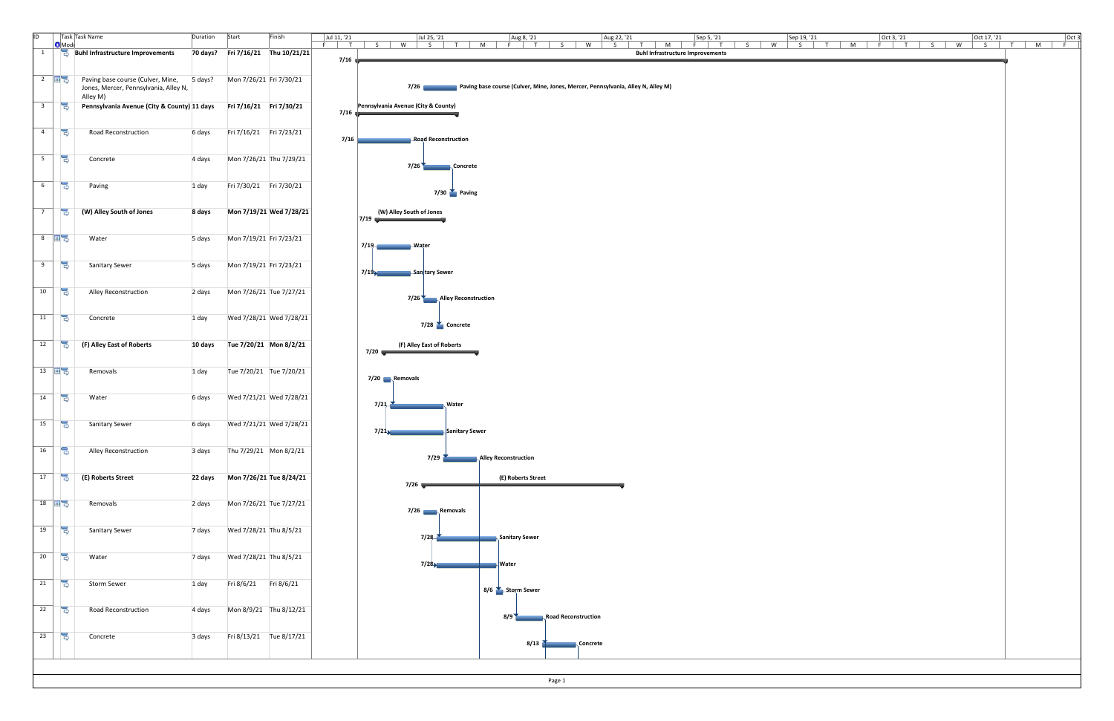| ID.                     | <b>O</b> Mod                        | Task Task Name                                                                                                  | Duration | Start<br>Finish                   | Sep 5, '21<br>$Oct$ 3, '21<br>Jul 11, '21<br>Jul 25, '21<br>Aug 8, '21<br>Aug 22, '21<br>Sep 19, '21<br>Oct 17, '21<br>Oct 3<br>S<br>$F \mid T$<br>W<br>$T$ M<br>$F \mid T$<br>$S \cup$<br>$T$ $M$ $F$<br>$\mathsf{T}$<br>$\begin{array}{ c c c c c } \hline \end{array}$ s   w<br>$S$ $T$ M<br>$F$ $T$ $S$ $W$<br>$S$ W<br>S<br>T M<br>$-$ F<br>S |
|-------------------------|-------------------------------------|-----------------------------------------------------------------------------------------------------------------|----------|-----------------------------------|----------------------------------------------------------------------------------------------------------------------------------------------------------------------------------------------------------------------------------------------------------------------------------------------------------------------------------------------------|
| $\mathbf{1}$            |                                     | <b>Buhl Infrastructure Improvements</b>                                                                         |          | 70 days? Fri 7/16/21 Thu 10/21/21 | <b>Buhl Infrastructure Improvements</b><br>$7/16$ $\sqrt{ }$                                                                                                                                                                                                                                                                                       |
|                         |                                     |                                                                                                                 |          |                                   |                                                                                                                                                                                                                                                                                                                                                    |
|                         |                                     | 2 $\overline{H}$ Paving base course (Culver, Mine, 5 days?<br>Jones, Mercer, Pennsylvania, Alley N,<br>Alley M) |          | Mon 7/26/21 Fri 7/30/21           | 7/26 Paving base course (Culver, Mine, Jones, Mercer, Pennsylvania, Alley N, Alley M)                                                                                                                                                                                                                                                              |
| $\overline{\mathbf{3}}$ | 号                                   | Pennsylvania Avenue (City & County) 11 days                                                                     |          | Fri 7/16/21   Fri 7/30/21         | Pennsylvania Avenue (City & County)<br>$7/16$ $\frac{1}{2}$                                                                                                                                                                                                                                                                                        |
|                         |                                     |                                                                                                                 |          |                                   |                                                                                                                                                                                                                                                                                                                                                    |
| $\overline{4}$          | $\Rightarrow$                       | Road Reconstruction                                                                                             | 6 days   | Fri 7/16/21    Fri 7/23/21        | 7/16<br>Road Reconstruction                                                                                                                                                                                                                                                                                                                        |
| 5 <sup>5</sup>          | 통                                   | Concrete                                                                                                        | 4 days   | Mon 7/26/21 Thu 7/29/21           | 7/26 Concrete                                                                                                                                                                                                                                                                                                                                      |
| $6\overline{6}$         | 号                                   | Paving                                                                                                          | 1 day    | Fri 7/30/21    Fri 7/30/21        | $7/30$ Paving                                                                                                                                                                                                                                                                                                                                      |
| $7\overline{ }$         | $\Rightarrow$                       | (W) Alley South of Jones                                                                                        | 8 days   | Mon 7/19/21 Wed 7/28/21           | (W) Alley South of Jones<br>$\mid$ 7/19                                                                                                                                                                                                                                                                                                            |
|                         | $8 \quad \blacksquare$              | Water                                                                                                           | 5 days   | Mon 7/19/21 Fri 7/23/21           | 7/19 Water                                                                                                                                                                                                                                                                                                                                         |
| 9                       | 통                                   | <b>Sanitary Sewer</b>                                                                                           | 5 days   | Mon 7/19/21 Fri 7/23/21           | 7/19 Sanitary Sewer                                                                                                                                                                                                                                                                                                                                |
| 10                      | 号                                   | Alley Reconstruction                                                                                            | 2 days   | Mon 7/26/21 Tue 7/27/21           | 7/26 Alley Reconstruction                                                                                                                                                                                                                                                                                                                          |
| 11                      | $\Rightarrow$                       | Concrete                                                                                                        | 1 day    | Wed 7/28/21 Wed 7/28/21           | $7/28$ Concrete                                                                                                                                                                                                                                                                                                                                    |
| 12                      | $\Rightarrow$                       | (F) Alley East of Roberts                                                                                       | 10 days  | Tue 7/20/21 Mon 8/2/21            | (F) Alley East of Roberts<br>$7/20$ with a set of $\sim$                                                                                                                                                                                                                                                                                           |
| $13 \quad \blacksquare$ |                                     | Removals                                                                                                        | 1 day    | Tue 7/20/21 Tue 7/20/21           | 7/20 Removals                                                                                                                                                                                                                                                                                                                                      |
| 14                      | 긓                                   | Water                                                                                                           | 6 days   | Wed 7/21/21 Wed 7/28/21           | 7/21<br><b>Water</b>                                                                                                                                                                                                                                                                                                                               |
| 15                      | B                                   | <b>Sanitary Sewer</b>                                                                                           | 6 days   | Wed 7/21/21 Wed 7/28/21           | 7/21<br>Sanitary Sewer                                                                                                                                                                                                                                                                                                                             |
| 16                      | 몽                                   | Alley Reconstruction                                                                                            | 3 days   | Thu 7/29/21 Mon 8/2/21            | 7/29 Alley Reconstruction                                                                                                                                                                                                                                                                                                                          |
| 17                      | 号                                   | (E) Roberts Street                                                                                              |          | 22 days Mon 7/26/21 Tue 8/24/21   | (E) Roberts Street<br>$7/26$ $\longrightarrow$                                                                                                                                                                                                                                                                                                     |
|                         | $18$ $\overline{12}$ $\overline{5}$ | Removals                                                                                                        | 2 days   | Mon 7/26/21 Tue 7/27/21           | 7/26 Removals                                                                                                                                                                                                                                                                                                                                      |
| 19                      | $\Rightarrow$                       | <b>Sanitary Sewer</b>                                                                                           | 7 days   | Wed 7/28/21 Thu 8/5/21            | Sanitary Sewer<br>7/28                                                                                                                                                                                                                                                                                                                             |
| 20                      | 통                                   | Water                                                                                                           | 7 days   | Wed 7/28/21 Thu 8/5/21            | 7/28<br><b>Nater</b>                                                                                                                                                                                                                                                                                                                               |
| 21                      | 통                                   | <b>Storm Sewer</b>                                                                                              | 1 day    | Fri 8/6/21    Fri 8/6/21          | 8/6 Storm Sewer                                                                                                                                                                                                                                                                                                                                    |
| 22                      | $\Rightarrow$                       | <b>Road Reconstruction</b>                                                                                      | 4 days   | Mon 8/9/21 Thu 8/12/21            | 8/9 Road Reconstruction                                                                                                                                                                                                                                                                                                                            |
| 23                      | $\Rightarrow$                       | Concrete                                                                                                        | 3 days   | Fri 8/13/21 Tue 8/17/21           | 8/13 Concrete                                                                                                                                                                                                                                                                                                                                      |

Page 1